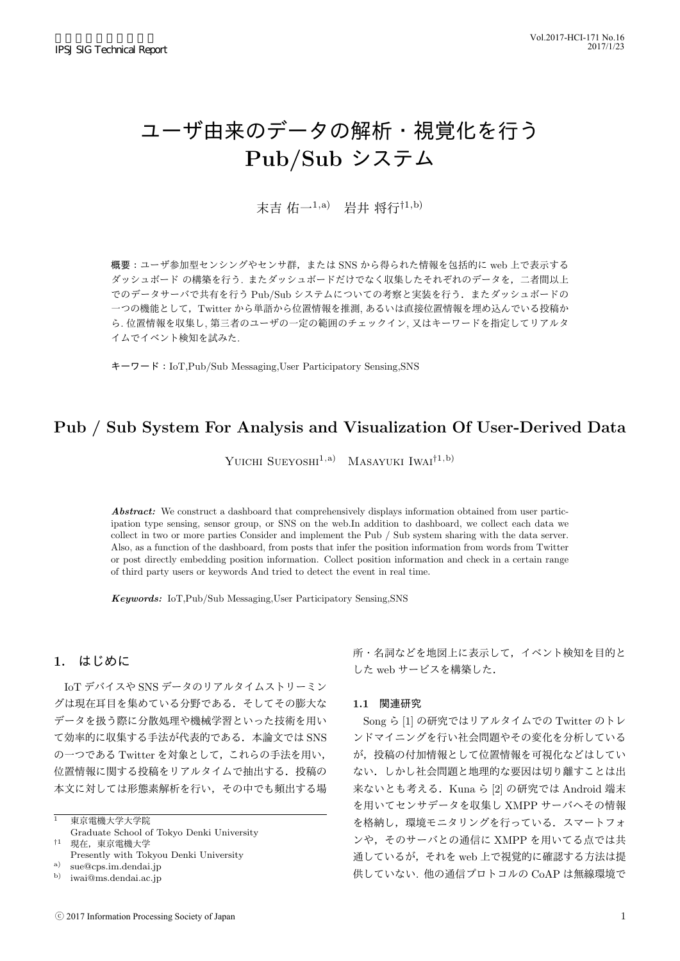# ユーザ由来のデータの解析・視覚化を行う **Pub/Sub** システム

末吉 佑一1,a) 岩井 将行*†*1,b)

概要:ユーザ参加型センシングやセンサ群,または SNS から得られた情報を包括的に web 上で表示する ダッシュボード の構築を行う. またダッシュボードだけでなく収集したそれぞれのデータを,二者間以上 でのデータサーバで共有を行う Pub/Sub システムについての考察と実装を行う.またダッシュボードの 一つの機能として,Twitter から単語から位置情報を推測, あるいは直接位置情報を埋め込んでいる投稿か ら. 位置情報を収集し, 第三者のユーザの一定の範囲のチェックイン, 又はキーワードを指定してリアルタ イムでイベント検知を試みた.

キーワード:IoT,Pub/Sub Messaging,User Participatory Sensing,SNS

## **Pub / Sub System For Analysis and Visualization Of User-Derived Data**

YUICHI SUEYOSHI<sup>1,a)</sup> MASAYUKI IWAI<sup>†1,b)</sup>

*Abstract:* We construct a dashboard that comprehensively displays information obtained from user participation type sensing, sensor group, or SNS on the web.In addition to dashboard, we collect each data we collect in two or more parties Consider and implement the Pub / Sub system sharing with the data server. Also, as a function of the dashboard, from posts that infer the position information from words from Twitter or post directly embedding position information. Collect position information and check in a certain range of third party users or keywords And tried to detect the event in real time.

*Keywords:* IoT,Pub/Sub Messaging,User Participatory Sensing,SNS

### **1.** はじめに

IoT デバイスや SNS データのリアルタイムストリーミン グは現在耳目を集めている分野である.そしてその膨大な データを扱う際に分散処理や機械学習といった技術を用い て効率的に収集する手法が代表的である. 本論文では SNS の一つである Twitter を対象として,これらの手法を用い, 位置情報に関する投稿をリアルタイムで抽出する.投稿の 本文に対しては形態素解析を行い,その中でも頻出する場

<sup>1</sup> 東京電機大学大学院 Graduate School of Tokyo Denki University *†*<sup>1</sup> 現在,東京電機大学

Presently with Tokyou Denki University

<sup>a)</sup> sue@cps.im.dendai.jp<br><sup>b)</sup> iwai@ms.dendai.ac.in b) iwai@ms.dendai.ac.jp 所・名詞などを地図上に表示して,イベント検知を目的と した web サービスを構築した.

#### **1.1** 関連研究

Song ら [1] の研究ではリアルタイムでの Twitter のトレ ンドマイニングを行い社会問題やその変化を分析している が,投稿の付加情報として位置情報を可視化などはしてい ない.しかし社会問題と地理的な要因は切り離すことは出 来ないとも考える.Kuna ら [2] の研究では Android 端末 を用いてセンサデータを収集し XMPP サーバへその情報 を格納し,環境モニタリングを行っている.スマートフォ ンや、そのサーバとの通信に XMPP を用いてる点では共 通しているが,それを web 上で視覚的に確認する方法は提 供していない. 他の通信プロトコルの CoAP は無線環境で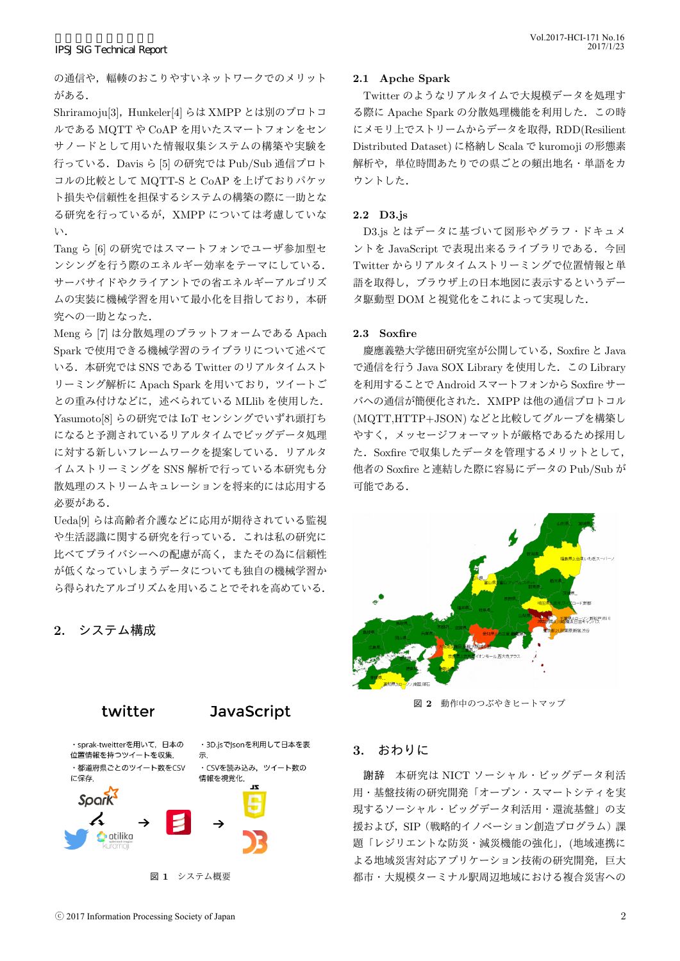の通信や,輻輳のおこりやすいネットワークでのメリット がある.

Shriramoju[3], Hunkeler[4] らは XMPP とは別のプロトコ ルである MQTT や CoAP を用いたスマートフォンをセン サノードとして用いた情報収集システムの構築や実験を 行っている.Davis ら [5] の研究では Pub/Sub 通信プロト コルの比較として MQTT-S と CoAP を上げておりパケッ ト損失や信頼性を担保するシステムの構築の際に一助とな る研究を行っているが,XMPP については考慮していな い.

Tang ら [6] の研究ではスマートフォンでユーザ参加型セ ンシングを行う際のエネルギー効率をテーマにしている. サーバサイドやクライアントでの省エネルギーアルゴリズ ムの実装に機械学習を用いて最小化を目指しており,本研 究への一助となった.

Meng ら [7] は分散処理のプラットフォームである Apach Spark で使用できる機械学習のライブラリについて述べて いる.本研究では SNS である Twitter のリアルタイムスト リーミング解析に Apach Spark を用いており,ツイートご との重み付けなどに、述べられている MLlib を使用した. Yasumoto[8] らの研究では IoT センシングでいずれ頭打ち になると予測されているリアルタイムでビッグデータ処理 に対する新しいフレームワークを提案している.リアルタ イムストリーミングを SNS 解析で行っている本研究も分 散処理のストリームキュレーションを将来的には応用する 必要がある.

Ueda[9] らは高齢者介護などに応用が期待されている監視 や生活認識に関する研究を行っている.これは私の研究に 比べてプライバシーへの配慮が高く,またその為に信頼性 が低くなっていしまうデータについても独自の機械学習か ら得られたアルゴリズムを用いることでそれを高めている.

**2.** システム構成



**2.1 Apche Spark**

Twitter のようなリアルタイムで大規模データを処理す る際に Apache Spark の分散処理機能を利用した.この時 にメモリ上でストリームからデータを取得,RDD(Resilient Distributed Dataset) に格納し Scala で kuromoji の形態素 解析や、単位時間あたりでの県ごとの頻出地名·単語をカ ウントした.

#### **2.2 D3.js**

D3.js とはデータに基づいて図形やグラフ・ドキュメ ントを JavaScript で表現出来るライブラリである. 今回 Twitter からリアルタイムストリーミングで位置情報と単 語を取得し,ブラウザ上の日本地図に表示するというデー タ駆動型 DOM と視覚化をこれによって実現した.

#### **2.3 Soxfire**

慶應義塾大学徳田研究室が公開している,Soxfire と Java で通信を行う Java SOX Library を使用した.この Library を利用することで Android スマートフォンから Soxfire サー バへの通信が簡便化された.XMPP は他の通信プロトコル (MQTT,HTTP+JSON) などと比較してグループを構築し やすく,メッセージフォーマットが厳格であるため採用し た.Soxfire で収集したデータを管理するメリットとして, 他者の Soxfire と連結した際に容易にデータの Pub/Sub が 可能である.



図 **2** 動作中のつぶやきヒートマップ

#### **3.** おわりに

謝辞 本研究は NICT ソーシャル・ビッグデータ利活 用・基盤技術の研究開発「オープン・スマートシティを実 現するソーシャル・ビッグデータ利活用・還流基盤」の支 援および, SIP (戦略的イノベーション創造プログラム)課 題「レジリエントな防災・減災機能の強化」,(地域連携に よる地域災害対応アプリケーション技術の研究開発,巨大 都市・大規模ターミナル駅周辺地域における複合災害への